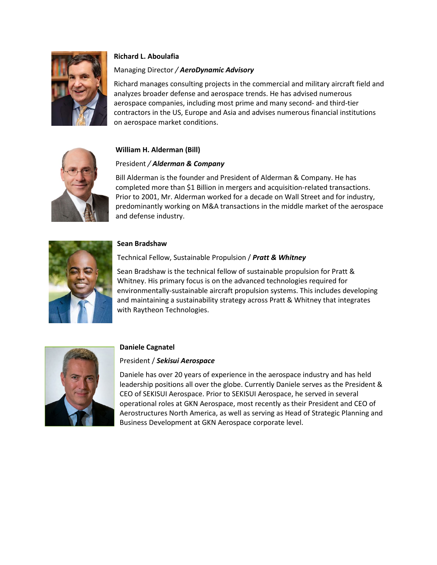

# **Richard L. Aboulafia**

## Managing Director */ AeroDynamic Advisory*

Richard manages consulting projects in the commercial and military aircraft field and analyzes broader defense and aerospace trends. He has advised numerous aerospace companies, including most prime and many second- and third-tier contractors in the US, Europe and Asia and advises numerous financial institutions on aerospace market conditions.



## **William H. Alderman (Bill)**

## President */ Alderman & Company*

Bill Alderman is the founder and President of Alderman & Company. He has completed more than \$1 Billion in mergers and acquisition-related transactions. Prior to 2001, Mr. Alderman worked for a decade on Wall Street and for industry, predominantly working on M&A transactions in the middle market of the aerospace and defense industry.



## **Sean Bradshaw**

## Technical Fellow, Sustainable Propulsion / *Pratt & Whitney*

Sean Bradshaw is the technical fellow of sustainable propulsion for Pratt & Whitney. His primary focus is on the advanced technologies required for environmentally-sustainable aircraft propulsion systems. This includes developing and maintaining a sustainability strategy across Pratt & Whitney that integrates with Raytheon Technologies.



## **Daniele Cagnatel**

## President / *Sekisui Aerospace*

Daniele has over 20 years of experience in the aerospace industry and has held leadership positions all over the globe. Currently Daniele serves as the President & CEO of SEKISUI Aerospace. Prior to SEKISUI Aerospace, he served in several operational roles at GKN Aerospace, most recently as their President and CEO of Aerostructures North America, as well as serving as Head of Strategic Planning and Business Development at GKN Aerospace corporate level.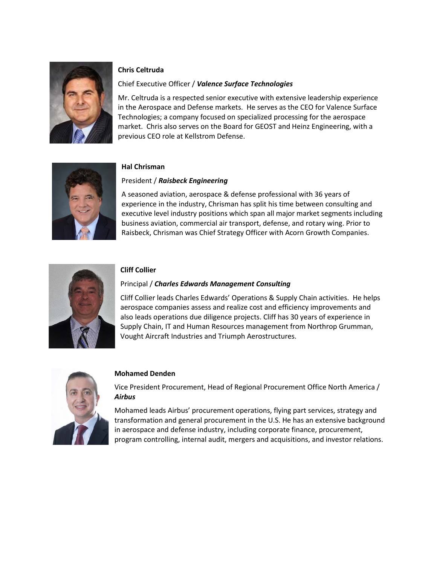

## **Chris Celtruda**

### Chief Executive Officer / *Valence Surface Technologies*

Mr. Celtruda is a respected senior executive with extensive leadership experience in the Aerospace and Defense markets. He serves as the CEO for Valence Surface Technologies; a company focused on specialized processing for the aerospace market. Chris also serves on the Board for GEOST and Heinz Engineering, with a previous CEO role at Kellstrom Defense.



### **Hal Chrisman**

### President / *Raisbeck Engineering*

A seasoned aviation, aerospace & defense professional with 36 years of experience in the industry, Chrisman has split his time between consulting and executive level industry positions which span all major market segments including business aviation, commercial air transport, defense, and rotary wing. Prior to Raisbeck, Chrisman was Chief Strategy Officer with Acorn Growth Companies.



### **Cliff Collier**

### Principal / *Charles Edwards Management Consulting*

Cliff Collier leads Charles Edwards' Operations & Supply Chain activities. He helps aerospace companies assess and realize cost and efficiency improvements and also leads operations due diligence projects. Cliff has 30 years of experience in Supply Chain, IT and Human Resources management from Northrop Grumman, Vought Aircraft Industries and Triumph Aerostructures.



## **Mohamed Denden**

Vice President Procurement, Head of Regional Procurement Office North America / *Airbus*

Mohamed leads Airbus' procurement operations, flying part services, strategy and transformation and general procurement in the U.S. He has an extensive background in aerospace and defense industry, including corporate finance, procurement, program controlling, internal audit, mergers and acquisitions, and investor relations.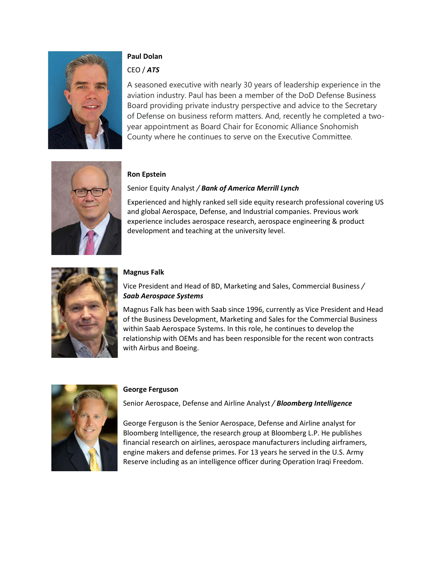

# **Paul Dolan**

# CEO / *ATS*

A seasoned executive with nearly 30 years of leadership experience in the aviation industry. Paul has been a member of the DoD Defense Business Board providing private industry perspective and advice to the Secretary of Defense on business reform matters. And, recently he completed a twoyear appointment as Board Chair for Economic Alliance Snohomish County where he continues to serve on the Executive Committee.



# **Ron Epstein**

# Senior Equity Analyst */ Bank of America Merrill Lynch*

Experienced and highly ranked sell side equity research professional covering US and global Aerospace, Defense, and Industrial companies. Previous work experience includes aerospace research, aerospace engineering & product development and teaching at the university level.



## **Magnus Falk**

Vice President and Head of BD, Marketing and Sales, Commercial Business */* *Saab Aerospace Systems*

Magnus Falk has been with Saab since 1996, currently as Vice President and Head of the Business Development, Marketing and Sales for the Commercial Business within Saab Aerospace Systems. In this role, he continues to develop the relationship with OEMs and has been responsible for the recent won contracts with Airbus and Boeing.



## **George Ferguson**

Senior Aerospace, Defense and Airline Analyst */ Bloomberg Intelligence*

George Ferguson is the Senior Aerospace, Defense and Airline analyst for Bloomberg Intelligence, the research group at Bloomberg L.P. He publishes financial research on airlines, aerospace manufacturers including airframers, engine makers and defense primes. For 13 years he served in the U.S. Army Reserve including as an intelligence officer during Operation Iraqi Freedom.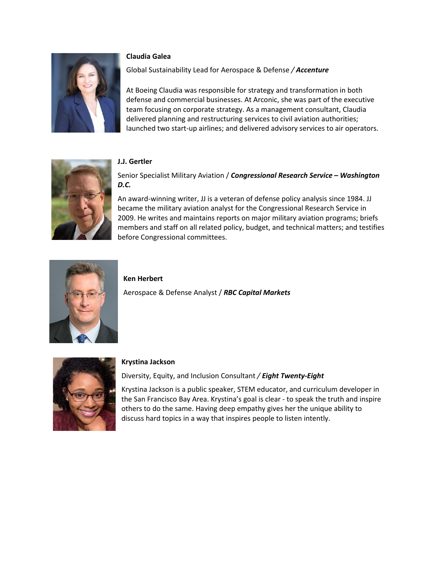

#### **Claudia Galea**

Global Sustainability Lead for Aerospace & Defense */ Accenture*

At Boeing Claudia was responsible for strategy and transformation in both defense and commercial businesses. At Arconic, she was part of the executive team focusing on corporate strategy. As a management consultant, Claudia delivered planning and restructuring services to civil aviation authorities; launched two start-up airlines; and delivered advisory services to air operators.



#### **J.J. Gertler**

Senior Specialist Military Aviation / *Congressional Research Service – Washington D.C.*

An award-winning writer, JJ is a veteran of defense policy analysis since 1984. JJ became the military aviation analyst for the Congressional Research Service in 2009. He writes and maintains reports on major military aviation programs; briefs members and staff on all related policy, budget, and technical matters; and testifies before Congressional committees.



#### **Ken Herbert**

Aerospace & Defense Analyst / *RBC Capital Markets*



#### **Krystina Jackson**

Diversity, Equity, and Inclusion Consultant */ Eight Twenty-Eight*

Krystina Jackson is a public speaker, STEM educator, and curriculum developer in the San Francisco Bay Area. Krystina's goal is clear - to speak the truth and inspire others to do the same. Having deep empathy gives her the unique ability to discuss hard topics in a way that inspires people to listen intently.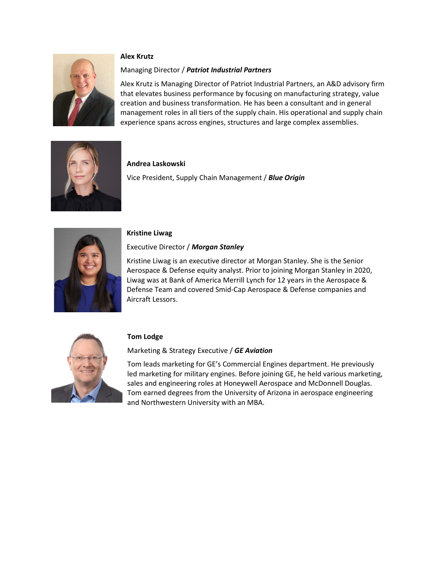

### **Alex Krutz**

### Managing Director / *Patriot Industrial Partners*

Alex Krutz is Managing Director of Patriot Industrial Partners, an A&D advisory firm that elevates business performance by focusing on manufacturing strategy, value creation and business transformation. He has been a consultant and in general management roles in all tiers of the supply chain. His operational and supply chain experience spans across engines, structures and large complex assemblies.



### **Andrea Laskowski**

Vice President, Supply Chain Management / *Blue Origin*



## **Kristine Liwag**

## Executive Director / *Morgan Stanley*

Kristine Liwag is an executive director at Morgan Stanley. She is the Senior Aerospace & Defense equity analyst. Prior to joining Morgan Stanley in 2020, Liwag was at Bank of America Merrill Lynch for 12 years in the Aerospace & Defense Team and covered Smid-Cap Aerospace & Defense companies and Aircraft Lessors.



## **Tom Lodge**

## Marketing & Strategy Executive / *GE Aviation*

Tom leads marketing for GE's Commercial Engines department. He previously led marketing for military engines. Before joining GE, he held various marketing, sales and engineering roles at Honeywell Aerospace and McDonnell Douglas. Tom earned degrees from the University of Arizona in aerospace engineering and Northwestern University with an MBA.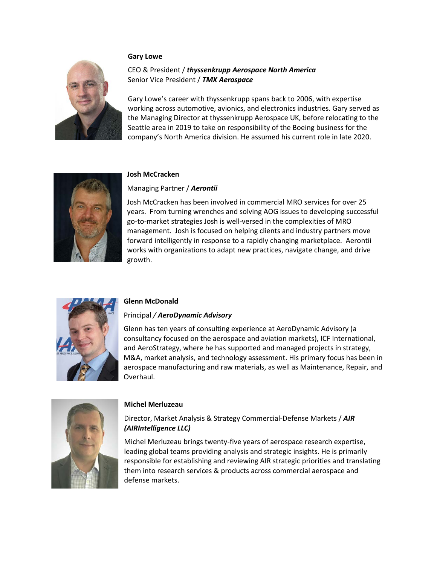#### **Gary Lowe**



### CEO & President / *thyssenkrupp Aerospace North America* Senior Vice President / *TMX Aerospace*

Gary Lowe's career with thyssenkrupp spans back to 2006, with expertise working across automotive, avionics, and electronics industries. Gary served as the Managing Director at thyssenkrupp Aerospace UK, before relocating to the Seattle area in 2019 to take on responsibility of the Boeing business for the company's North America division. He assumed his current role in late 2020.



### **Josh McCracken**

Managing Partner / *Aerontii*

Josh McCracken has been involved in commercial MRO services for over 25 years. From turning wrenches and solving AOG issues to developing successful go-to-market strategies Josh is well-versed in the complexities of MRO management. Josh is focused on helping clients and industry partners move forward intelligently in response to a rapidly changing marketplace. Aerontii works with organizations to adapt new practices, navigate change, and drive growth.



### **Glenn McDonald**

#### Principal */ AeroDynamic Advisory*

Glenn has ten years of consulting experience at AeroDynamic Advisory (a consultancy focused on the aerospace and aviation markets), ICF International, and AeroStrategy, where he has supported and managed projects in strategy, M&A, market analysis, and technology assessment. His primary focus has been in aerospace manufacturing and raw materials, as well as Maintenance, Repair, and Overhaul.



#### **Michel Merluzeau**

## Director, Market Analysis & Strategy Commercial-Defense Markets / *AIR (AIRIntelligence LLC)*

Michel Merluzeau brings twenty-five years of aerospace research expertise, leading global teams providing analysis and strategic insights. He is primarily responsible for establishing and reviewing AIR strategic priorities and translating them into research services & products across commercial aerospace and defense markets.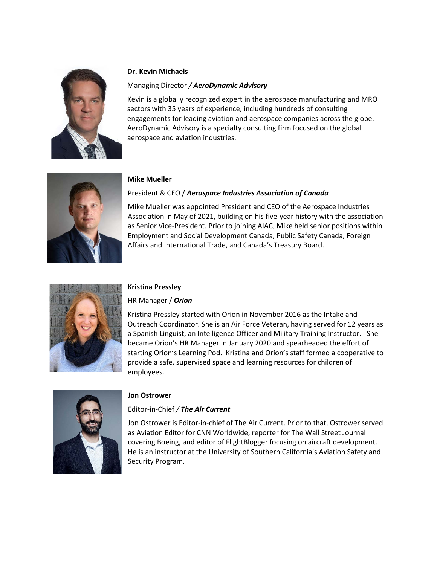

### **Dr. Kevin Michaels**

### Managing Director */ AeroDynamic Advisory*

Kevin is a globally recognized expert in the aerospace manufacturing and MRO sectors with 35 years of experience, including hundreds of consulting engagements for leading aviation and aerospace companies across the globe. AeroDynamic Advisory is a specialty consulting firm focused on the global aerospace and aviation industries.



### **Mike Mueller**

## President & CEO / *Aerospace Industries Association of Canada*

Mike Mueller was appointed President and CEO of the Aerospace Industries Association in May of 2021, building on his five-year history with the association as Senior Vice-President. Prior to joining AIAC, Mike held senior positions within Employment and Social Development Canada, Public Safety Canada, Foreign Affairs and International Trade, and Canada's Treasury Board.



## **Kristina Pressley**

## HR Manager / *Orion*

Kristina Pressley started with Orion in November 2016 as the Intake and Outreach Coordinator. She is an Air Force Veteran, having served for 12 years as a Spanish Linguist, an Intelligence Officer and Military Training Instructor. She became Orion's HR Manager in January 2020 and spearheaded the effort of starting Orion's Learning Pod. Kristina and Orion's staff formed a cooperative to provide a safe, supervised space and learning resources for children of employees.



## **Jon Ostrower**

## Editor-in-Chief */ The Air Current*

Jon Ostrower is Editor-in-chief of The Air Current. Prior to that, Ostrower served as Aviation Editor for CNN Worldwide, reporter for The Wall Street Journal covering Boeing, and editor of FlightBlogger focusing on aircraft development. He is an instructor at the University of Southern California's Aviation Safety and Security Program.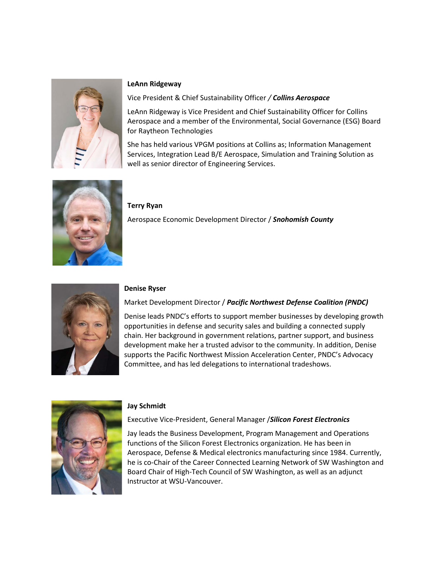

### **LeAnn Ridgeway**

Vice President & Chief Sustainability Officer */ Collins Aerospace*

LeAnn Ridgeway is Vice President and Chief Sustainability Officer for Collins Aerospace and a member of the Environmental, Social Governance (ESG) Board for Raytheon Technologies

She has held various VPGM positions at Collins as; Information Management Services, Integration Lead B/E Aerospace, Simulation and Training Solution as well as senior director of Engineering Services.



#### **Terry Ryan**

Aerospace Economic Development Director / *Snohomish County*



#### **Denise Ryser**

#### Market Development Director / *Pacific Northwest Defense Coalition (PNDC)*

Denise leads PNDC's efforts to support member businesses by developing growth opportunities in defense and security sales and building a connected supply chain. Her background in government relations, partner support, and business development make her a trusted advisor to the community. In addition, Denise supports the Pacific Northwest Mission Acceleration Center, PNDC's Advocacy Committee, and has led delegations to international tradeshows.



#### **Jay Schmidt**

#### Executive Vice-President, General Manager /*Silicon Forest Electronics*

Jay leads the Business Development, Program Management and Operations functions of the Silicon Forest Electronics organization. He has been in Aerospace, Defense & Medical electronics manufacturing since 1984. Currently, he is co-Chair of the Career Connected Learning Network of SW Washington and Board Chair of High-Tech Council of SW Washington, as well as an adjunct Instructor at WSU-Vancouver.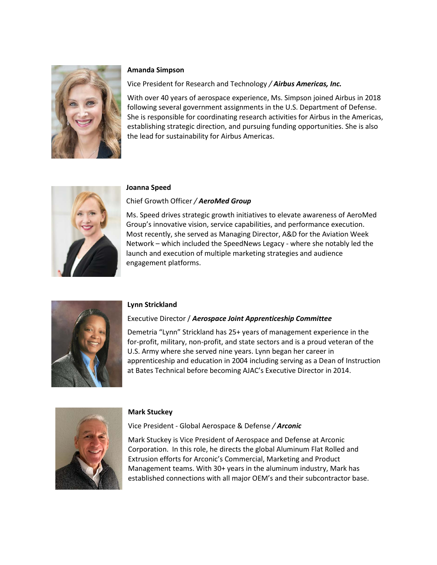

#### **Amanda Simpson**

### Vice President for Research and Technology */ Airbus Americas, Inc.*

With over 40 years of aerospace experience, Ms. Simpson joined Airbus in 2018 following several government assignments in the U.S. Department of Defense. She is responsible for coordinating research activities for Airbus in the Americas, establishing strategic direction, and pursuing funding opportunities. She is also the lead for sustainability for Airbus Americas.



#### **Joanna Speed**

### Chief Growth Officer */ AeroMed Group*

Ms. Speed drives strategic growth initiatives to elevate awareness of AeroMed Group's innovative vision, service capabilities, and performance execution. Most recently, she served as Managing Director, A&D for the Aviation Week Network – which included the SpeedNews Legacy - where she notably led the launch and execution of multiple marketing strategies and audience engagement platforms.



### **Lynn Strickland**

### Executive Director / *Aerospace Joint Apprenticeship Committee*

Demetria "Lynn" Strickland has 25+ years of management experience in the for-profit, military, non-profit, and state sectors and is a proud veteran of the U.S. Army where she served nine years. Lynn began her career in apprenticeship and education in 2004 including serving as a Dean of Instruction at Bates Technical before becoming AJAC's Executive Director in 2014.



### **Mark Stuckey**

Vice President - Global Aerospace & Defense */ Arconic*

Mark Stuckey is Vice President of Aerospace and Defense at Arconic Corporation. In this role, he directs the global Aluminum Flat Rolled and Extrusion efforts for Arconic's Commercial, Marketing and Product Management teams. With 30+ years in the aluminum industry, Mark has established connections with all major OEM's and their subcontractor base.